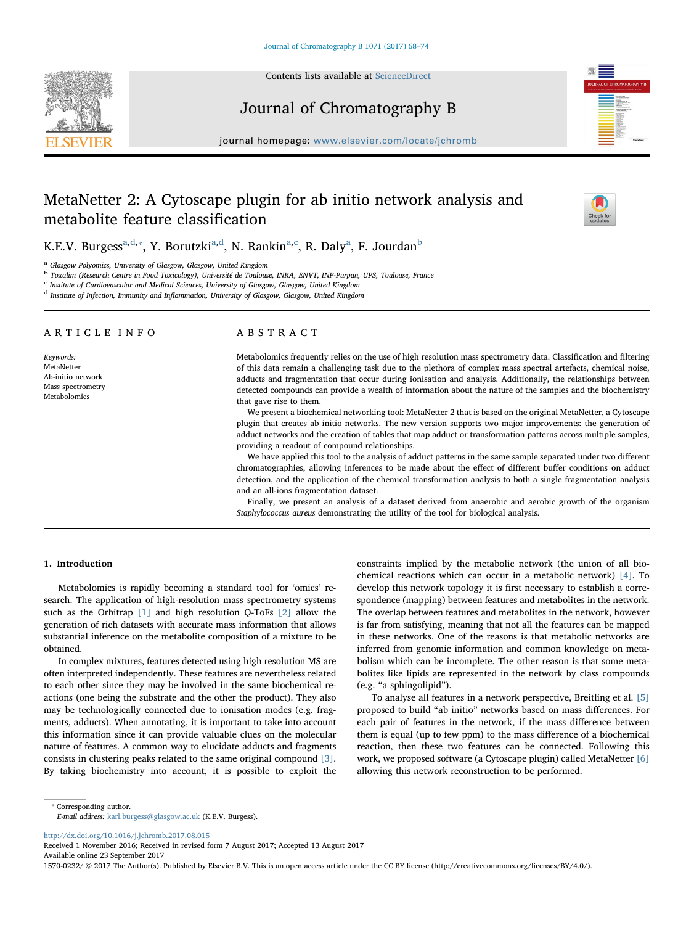

Contents lists available at [ScienceDirect](http://www.sciencedirect.com/science/journal/15700232)

# Journal of Chromatography B

journal homepage: [www.elsevier.com/locate/jchromb](https://www.elsevier.com/locate/jchromb)

# MetaNetter 2: A Cytoscape plugin for ab initio network analysis and metabolite feature classification



K.E.V. Burgess<sup>[a,](#page-0-0)[d](#page-0-1),</sup>\*, Y. Borutzki<sup>[a](#page-0-0),d</sup>, N. Rankin<sup>a[,c](#page-0-3)</sup>, R. Daly<sup>a</sup>, F. Jourdan<sup>[b](#page-0-4)</sup>

<span id="page-0-0"></span>Glasgow Polyomics, University of Glasgow, Glasgow, United Kingdom

<span id="page-0-4"></span><sup>b</sup> Toxalim (Research Centre in Food Toxicology), Université de Toulouse, INRA, ENVT, INP-Purpan, UPS, Toulouse, France

<span id="page-0-3"></span> $\rm ^c$  Institute of Cardiovascular and Medical Sciences, University of Glasgow, Glasgow, United Kingdom

<span id="page-0-1"></span><sup>d</sup> Institute of Infection, Immunity and Inflammation, University of Glasgow, Glasgow, United Kingdom

#### ARTICLE INFO

Keywords: MetaNetter Ab-initio network Mass spectrometry Metabolomics

# ABSTRACT

Metabolomics frequently relies on the use of high resolution mass spectrometry data. Classification and filtering of this data remain a challenging task due to the plethora of complex mass spectral artefacts, chemical noise, adducts and fragmentation that occur during ionisation and analysis. Additionally, the relationships between detected compounds can provide a wealth of information about the nature of the samples and the biochemistry that gave rise to them.

We present a biochemical networking tool: MetaNetter 2 that is based on the original MetaNetter, a Cytoscape plugin that creates ab initio networks. The new version supports two major improvements: the generation of adduct networks and the creation of tables that map adduct or transformation patterns across multiple samples, providing a readout of compound relationships.

We have applied this tool to the analysis of adduct patterns in the same sample separated under two different chromatographies, allowing inferences to be made about the effect of different buffer conditions on adduct detection, and the application of the chemical transformation analysis to both a single fragmentation analysis and an all-ions fragmentation dataset.

Finally, we present an analysis of a dataset derived from anaerobic and aerobic growth of the organism Staphylococcus aureus demonstrating the utility of the tool for biological analysis.

# 1. Introduction

Metabolomics is rapidly becoming a standard tool for 'omics' research. The application of high-resolution mass spectrometry systems such as the Orbitrap [\[1\]](#page-5-0) and high resolution Q-ToFs [\[2\]](#page-5-1) allow the generation of rich datasets with accurate mass information that allows substantial inference on the metabolite composition of a mixture to be obtained.

In complex mixtures, features detected using high resolution MS are often interpreted independently. These features are nevertheless related to each other since they may be involved in the same biochemical reactions (one being the substrate and the other the product). They also may be technologically connected due to ionisation modes (e.g. fragments, adducts). When annotating, it is important to take into account this information since it can provide valuable clues on the molecular nature of features. A common way to elucidate adducts and fragments consists in clustering peaks related to the same original compound [\[3\]](#page-5-2). By taking biochemistry into account, it is possible to exploit the

constraints implied by the metabolic network (the union of all biochemical reactions which can occur in a metabolic network) [\[4\].](#page-5-3) To develop this network topology it is first necessary to establish a correspondence (mapping) between features and metabolites in the network. The overlap between features and metabolites in the network, however is far from satisfying, meaning that not all the features can be mapped in these networks. One of the reasons is that metabolic networks are inferred from genomic information and common knowledge on metabolism which can be incomplete. The other reason is that some metabolites like lipids are represented in the network by class compounds (e.g. "a sphingolipid").

To analyse all features in a network perspective, Breitling et al. [\[5\]](#page-5-4) proposed to build "ab initio" networks based on mass differences. For each pair of features in the network, if the mass difference between them is equal (up to few ppm) to the mass difference of a biochemical reaction, then these two features can be connected. Following this work, we proposed software (a Cytoscape plugin) called MetaNetter [\[6\]](#page-6-0) allowing this network reconstruction to be performed.

<span id="page-0-2"></span>⁎ Corresponding author.

E-mail address: [karl.burgess@glasgow.ac.uk](mailto:karl.burgess@glasgow.ac.uk) (K.E.V. Burgess).

<http://dx.doi.org/10.1016/j.jchromb.2017.08.015>

Received 1 November 2016; Received in revised form 7 August 2017; Accepted 13 August 2017 Available online 23 September 2017

1570-0232/ © 2017 The Author(s). Published by Elsevier B.V. This is an open access article under the CC BY license (http://creativecommons.org/licenses/BY/4.0/).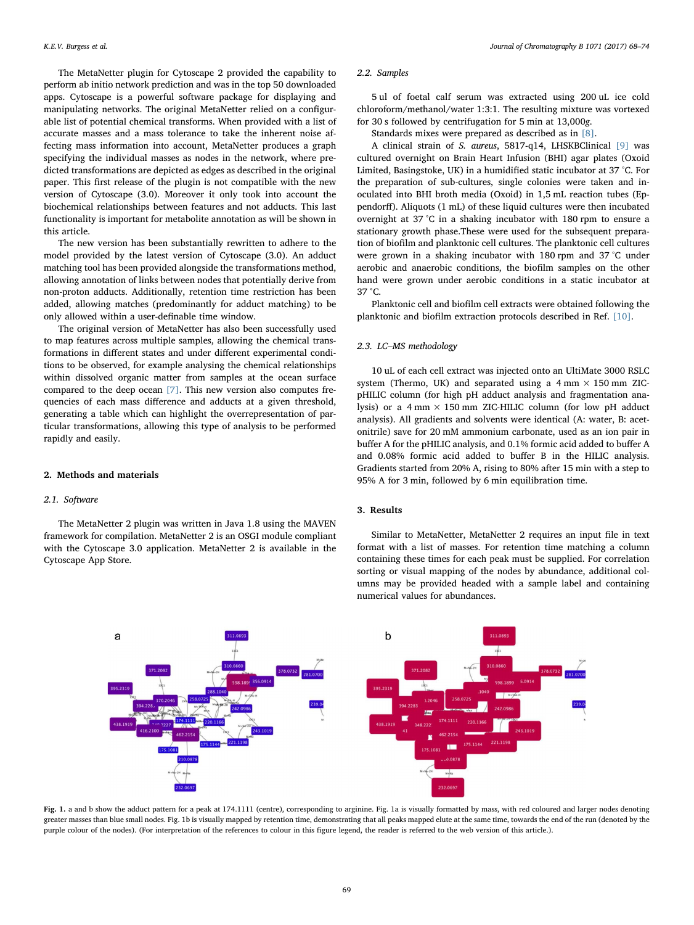The MetaNetter plugin for Cytoscape 2 provided the capability to perform ab initio network prediction and was in the top 50 downloaded apps. Cytoscape is a powerful software package for displaying and manipulating networks. The original MetaNetter relied on a configurable list of potential chemical transforms. When provided with a list of accurate masses and a mass tolerance to take the inherent noise affecting mass information into account, MetaNetter produces a graph specifying the individual masses as nodes in the network, where predicted transformations are depicted as edges as described in the original paper. This first release of the plugin is not compatible with the new version of Cytoscape (3.0). Moreover it only took into account the biochemical relationships between features and not adducts. This last functionality is important for metabolite annotation as will be shown in this article.

The new version has been substantially rewritten to adhere to the model provided by the latest version of Cytoscape (3.0). An adduct matching tool has been provided alongside the transformations method, allowing annotation of links between nodes that potentially derive from non-proton adducts. Additionally, retention time restriction has been added, allowing matches (predominantly for adduct matching) to be only allowed within a user-definable time window.

The original version of MetaNetter has also been successfully used to map features across multiple samples, allowing the chemical transformations in different states and under different experimental conditions to be observed, for example analysing the chemical relationships within dissolved organic matter from samples at the ocean surface compared to the deep ocean [\[7\].](#page-6-1) This new version also computes frequencies of each mass difference and adducts at a given threshold, generating a table which can highlight the overrepresentation of particular transformations, allowing this type of analysis to be performed rapidly and easily.

## 2. Methods and materials

## 2.1. Software

The MetaNetter 2 plugin was written in Java 1.8 using the MAVEN framework for compilation. MetaNetter 2 is an OSGI module compliant with the Cytoscape 3.0 application. MetaNetter 2 is available in the Cytoscape App Store.

# 2.2. Samples

5 ul of foetal calf serum was extracted using 200 uL ice cold chloroform/methanol/water 1:3:1. The resulting mixture was vortexed for 30 s followed by centrifugation for 5 min at 13,000g.

Standards mixes were prepared as described as in [\[8\]](#page-6-2).

A clinical strain of S. aureus, 5817-q14, LHSKBClinical [\[9\]](#page-6-3) was cultured overnight on Brain Heart Infusion (BHI) agar plates (Oxoid Limited, Basingstoke, UK) in a humidified static incubator at 37 °C. For the preparation of sub-cultures, single colonies were taken and inoculated into BHI broth media (Oxoid) in 1,5 mL reaction tubes (Eppendorff). Aliquots (1 mL) of these liquid cultures were then incubated overnight at 37 °C in a shaking incubator with 180 rpm to ensure a stationary growth phase.These were used for the subsequent preparation of biofilm and planktonic cell cultures. The planktonic cell cultures were grown in a shaking incubator with 180 rpm and 37 °C under aerobic and anaerobic conditions, the biofilm samples on the other hand were grown under aerobic conditions in a static incubator at 37 °C.

Planktonic cell and biofilm cell extracts were obtained following the planktonic and biofilm extraction protocols described in Ref. [\[10\].](#page-6-4)

# 2.3. LC–MS methodology

10 uL of each cell extract was injected onto an UltiMate 3000 RSLC system (Thermo, UK) and separated using a  $4 \text{ mm} \times 150 \text{ mm}$  ZICpHILIC column (for high pH adduct analysis and fragmentation analysis) or a  $4 \text{ mm} \times 150 \text{ mm}$  ZIC-HILIC column (for low pH adduct analysis). All gradients and solvents were identical (A: water, B: acetonitrile) save for 20 mM ammonium carbonate, used as an ion pair in buffer A for the pHILIC analysis, and 0.1% formic acid added to buffer A and 0.08% formic acid added to buffer B in the HILIC analysis. Gradients started from 20% A, rising to 80% after 15 min with a step to 95% A for 3 min, followed by 6 min equilibration time.

# 3. Results

Similar to MetaNetter, MetaNetter 2 requires an input file in text format with a list of masses. For retention time matching a column containing these times for each peak must be supplied. For correlation sorting or visual mapping of the nodes by abundance, additional columns may be provided headed with a sample label and containing numerical values for abundances.

<span id="page-1-0"></span>

Fig. 1. a and b show the adduct pattern for a peak at 174.1111 (centre), corresponding to arginine. Fig. 1a is visually formatted by mass, with red coloured and larger nodes denoting greater masses than blue small nodes. Fig. 1b is visually mapped by retention time, demonstrating that all peaks mapped elute at the same time, towards the end of the run (denoted by the purple colour of the nodes). (For interpretation of the references to colour in this figure legend, the reader is referred to the web version of this article.).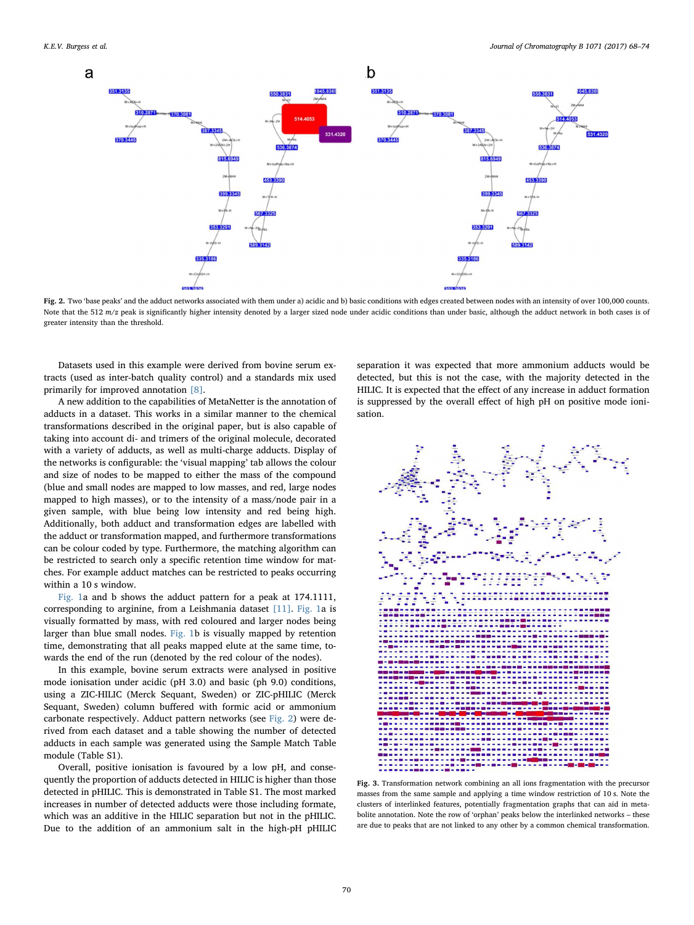<span id="page-2-0"></span>

Fig. 2. Two 'base peaks' and the adduct networks associated with them under a) acidic and b) basic conditions with edges created between nodes with an intensity of over 100,000 counts. Note that the 512  $m/z$  peak is significantly higher intensity denoted by a larger sized node under acidic conditions than under basic, although the adduct network in both cases is of greater intensity than the threshold.

Datasets used in this example were derived from bovine serum extracts (used as inter-batch quality control) and a standards mix used primarily for improved annotation [\[8\]](#page-6-2).

A new addition to the capabilities of MetaNetter is the annotation of adducts in a dataset. This works in a similar manner to the chemical transformations described in the original paper, but is also capable of taking into account di- and trimers of the original molecule, decorated with a variety of adducts, as well as multi-charge adducts. Display of the networks is configurable: the 'visual mapping' tab allows the colour and size of nodes to be mapped to either the mass of the compound (blue and small nodes are mapped to low masses, and red, large nodes mapped to high masses), or to the intensity of a mass/node pair in a given sample, with blue being low intensity and red being high. Additionally, both adduct and transformation edges are labelled with the adduct or transformation mapped, and furthermore transformations can be colour coded by type. Furthermore, the matching algorithm can be restricted to search only a specific retention time window for matches. For example adduct matches can be restricted to peaks occurring within a 10 s window.

[Fig. 1](#page-1-0)a and b shows the adduct pattern for a peak at 174.1111, corresponding to arginine, from a Leishmania dataset [\[11\].](#page-6-5) [Fig. 1a](#page-1-0) is visually formatted by mass, with red coloured and larger nodes being larger than blue small nodes. [Fig. 1b](#page-1-0) is visually mapped by retention time, demonstrating that all peaks mapped elute at the same time, towards the end of the run (denoted by the red colour of the nodes).

In this example, bovine serum extracts were analysed in positive mode ionisation under acidic (pH 3.0) and basic (ph 9.0) conditions, using a ZIC-HILIC (Merck Sequant, Sweden) or ZIC-pHILIC (Merck Sequant, Sweden) column buffered with formic acid or ammonium carbonate respectively. Adduct pattern networks (see [Fig. 2\)](#page-2-0) were derived from each dataset and a table showing the number of detected adducts in each sample was generated using the Sample Match Table module (Table S1).

Overall, positive ionisation is favoured by a low pH, and consequently the proportion of adducts detected in HILIC is higher than those detected in pHILIC. This is demonstrated in Table S1. The most marked increases in number of detected adducts were those including formate, which was an additive in the HILIC separation but not in the pHILIC. Due to the addition of an ammonium salt in the high-pH pHILIC separation it was expected that more ammonium adducts would be detected, but this is not the case, with the majority detected in the HILIC. It is expected that the effect of any increase in adduct formation is suppressed by the overall effect of high pH on positive mode ionisation.

<span id="page-2-1"></span>

Fig. 3. Transformation network combining an all ions fragmentation with the precursor masses from the same sample and applying a time window restriction of 10 s. Note the clusters of interlinked features, potentially fragmentation graphs that can aid in metabolite annotation. Note the row of 'orphan' peaks below the interlinked networks – these are due to peaks that are not linked to any other by a common chemical transformation.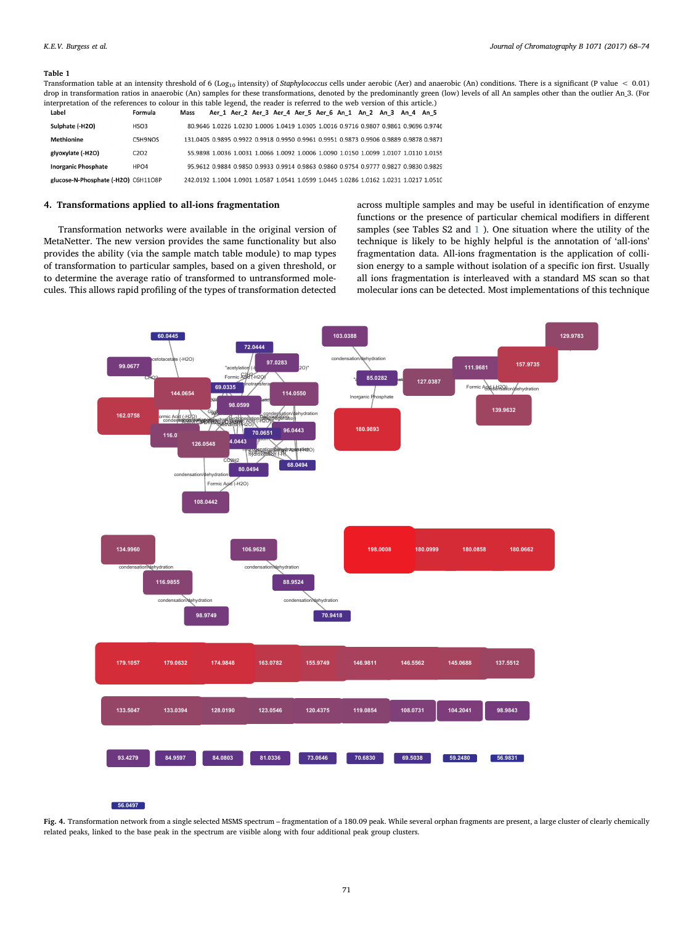#### <span id="page-3-0"></span>Table 1

Transformation table at an intensity threshold of 6 (Log<sub>10</sub> intensity) of Staphylococcus cells under aerobic (Aer) and anaerobic (An) conditions. There is a significant (P value < 0.01) drop in transformation ratios in anaerobic (An) samples for these transformations, denoted by the predominantly green (low) levels of all An samples other than the outlier An\_3. (For interpretation of the references to colour in this table legend, the reader is referred to the web version of this article.)

| Label                               | Formula                       | Mass                                                                                  |  | Aer 1 Aer 2 Aer 3 Aer 4 Aer 5 Aer 6 An 1 An 2 An 3 An 4 An 5 |  |  |  |                                                                                      |
|-------------------------------------|-------------------------------|---------------------------------------------------------------------------------------|--|--------------------------------------------------------------|--|--|--|--------------------------------------------------------------------------------------|
| Sulphate (-H2O)                     | HSO3                          |                                                                                       |  |                                                              |  |  |  | 80.9646 1.0226 1.0230 1.0006 1.0419 1.0305 1.0016 0.9716 0.9807 0.9861 0.9696 0.9746 |
| <b>Methionine</b>                   | C5H9NOS                       | 131,0405 0,9895 0,9922 0,9918 0,9950 0,9961 0,9951 0,9873 0,9906 0,9889 0,9878 0,9871 |  |                                                              |  |  |  |                                                                                      |
| glyoxylate (-H2O)                   | C <sub>2</sub> O <sub>2</sub> |                                                                                       |  |                                                              |  |  |  | 55.9898 1.0036 1.0031 1.0066 1.0092 1.0006 1.0090 1.0150 1.0099 1.0107 1.0110 1.0155 |
| <b>Inorganic Phosphate</b>          | HPO4                          |                                                                                       |  |                                                              |  |  |  | 95.9612 0.9884 0.9850 0.9933 0.9914 0.9863 0.9860 0.9754 0.9777 0.9827 0.9830 0.9829 |
| glucose-N-Phosphate (-H2O) C6H11O8P |                               | 242.0192 1.1004 1.0901 1.0587 1.0541 1.0599 1.0445 1.0286 1.0162 1.0231 1.0217 1.0510 |  |                                                              |  |  |  |                                                                                      |

## 4. Transformations applied to all-ions fragmentation

Transformation networks were available in the original version of MetaNetter. The new version provides the same functionality but also provides the ability (via the sample match table module) to map types of transformation to particular samples, based on a given threshold, or to determine the average ratio of transformed to untransformed molecules. This allows rapid profiling of the types of transformation detected

across multiple samples and may be useful in identification of enzyme functions or the presence of particular chemical modifiers in different samples (see Tables S2 and [1](#page-3-0) ). One situation where the utility of the technique is likely to be highly helpful is the annotation of 'all-ions' fragmentation data. All-ions fragmentation is the application of collision energy to a sample without isolation of a specific ion first. Usually all ions fragmentation is interleaved with a standard MS scan so that molecular ions can be detected. Most implementations of this technique

<span id="page-3-1"></span>

#### **56.0497**

Fig. 4. Transformation network from a single selected MSMS spectrum – fragmentation of a 180.09 peak. While several orphan fragments are present, a large cluster of clearly chemically related peaks, linked to the base peak in the spectrum are visible along with four additional peak group clusters.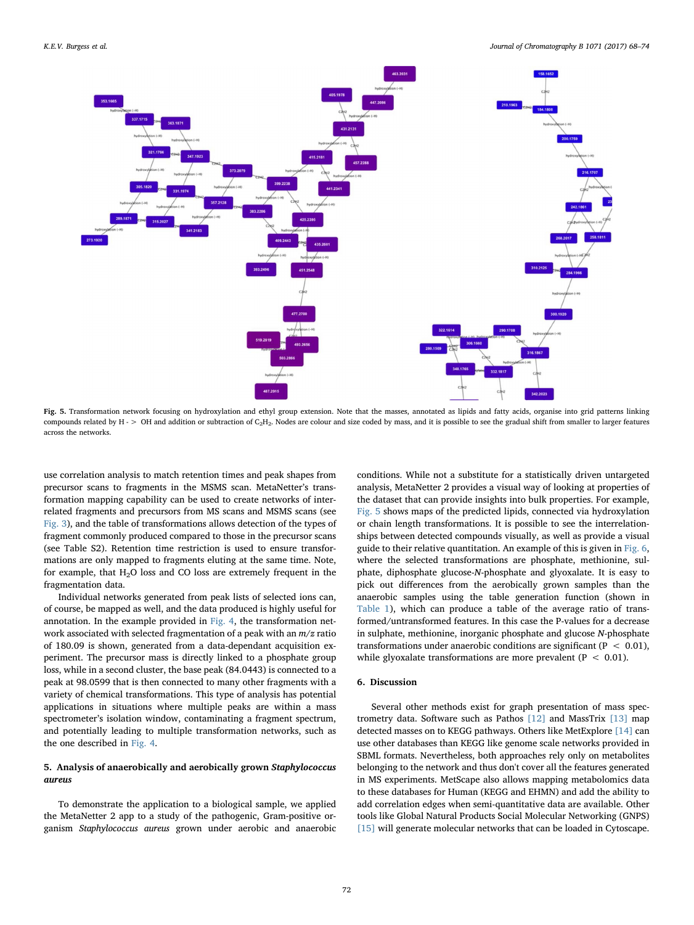K.E.V. Burgess et al. *Journal of Chromatography B 1071 (2017) 68–74*

<span id="page-4-0"></span>

Fig. 5. Transformation network focusing on hydroxylation and ethyl group extension. Note that the masses, annotated as lipids and fatty acids, organise into grid patterns linking compounds related by H - > OH and addition or subtraction of C<sub>2</sub>H<sub>2</sub>. Nodes are colour and size coded by mass, and it is possible to see the gradual shift from smaller to larger features across the networks.

use correlation analysis to match retention times and peak shapes from precursor scans to fragments in the MSMS scan. MetaNetter's transformation mapping capability can be used to create networks of interrelated fragments and precursors from MS scans and MSMS scans (see [Fig. 3](#page-2-1)), and the table of transformations allows detection of the types of fragment commonly produced compared to those in the precursor scans (see Table S2). Retention time restriction is used to ensure transformations are only mapped to fragments eluting at the same time. Note, for example, that  $H_2O$  loss and CO loss are extremely frequent in the fragmentation data.

Individual networks generated from peak lists of selected ions can, of course, be mapped as well, and the data produced is highly useful for annotation. In the example provided in [Fig. 4,](#page-3-1) the transformation network associated with selected fragmentation of a peak with an  $m/z$  ratio of 180.09 is shown, generated from a data-dependant acquisition experiment. The precursor mass is directly linked to a phosphate group loss, while in a second cluster, the base peak (84.0443) is connected to a peak at 98.0599 that is then connected to many other fragments with a variety of chemical transformations. This type of analysis has potential applications in situations where multiple peaks are within a mass spectrometer's isolation window, contaminating a fragment spectrum, and potentially leading to multiple transformation networks, such as the one described in [Fig. 4](#page-3-1).

# 5. Analysis of anaerobically and aerobically grown Staphylococcus aureus

To demonstrate the application to a biological sample, we applied the MetaNetter 2 app to a study of the pathogenic, Gram-positive organism Staphylococcus aureus grown under aerobic and anaerobic conditions. While not a substitute for a statistically driven untargeted analysis, MetaNetter 2 provides a visual way of looking at properties of the dataset that can provide insights into bulk properties. For example, [Fig. 5](#page-4-0) shows maps of the predicted lipids, connected via hydroxylation or chain length transformations. It is possible to see the interrelationships between detected compounds visually, as well as provide a visual guide to their relative quantitation. An example of this is given in [Fig. 6](#page-5-5), where the selected transformations are phosphate, methionine, sulphate, diphosphate glucose-N-phosphate and glyoxalate. It is easy to pick out differences from the aerobically grown samples than the anaerobic samples using the table generation function (shown in [Table 1\)](#page-3-0), which can produce a table of the average ratio of transformed/untransformed features. In this case the P-values for a decrease in sulphate, methionine, inorganic phosphate and glucose N-phosphate transformations under anaerobic conditions are significant ( $P < 0.01$ ), while glyoxalate transformations are more prevalent ( $P < 0.01$ ).

# 6. Discussion

Several other methods exist for graph presentation of mass spectrometry data. Software such as Pathos [\[12\]](#page-6-6) and MassTrix [\[13\]](#page-6-7) map detected masses on to KEGG pathways. Others like MetExplore [\[14\]](#page-6-8) can use other databases than KEGG like genome scale networks provided in SBML formats. Nevertheless, both approaches rely only on metabolites belonging to the network and thus don't cover all the features generated in MS experiments. MetScape also allows mapping metabolomics data to these databases for Human (KEGG and EHMN) and add the ability to add correlation edges when semi-quantitative data are available. Other tools like Global Natural Products Social Molecular Networking (GNPS) [\[15\]](#page-6-9) will generate molecular networks that can be loaded in Cytoscape.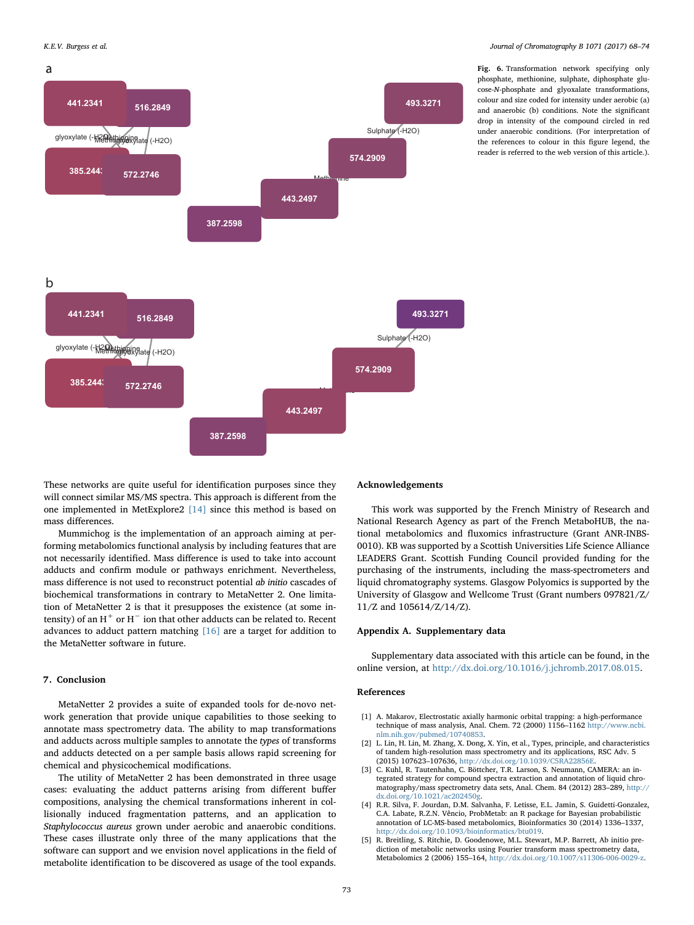<span id="page-5-5"></span>

Fig. 6. Transformation network specifying only phosphate, methionine, sulphate, diphosphate glucose-N-phosphate and glyoxalate transformations, colour and size coded for intensity under aerobic (a) and anaerobic (b) conditions. Note the significant drop in intensity of the compound circled in red under anaerobic conditions. (For interpretation of the references to colour in this figure legend, the reader is referred to the web version of this article.).

These networks are quite useful for identification purposes since they will connect similar MS/MS spectra. This approach is different from the one implemented in MetExplore2 [\[14\]](#page-6-8) since this method is based on mass differences.

Mummichog is the implementation of an approach aiming at performing metabolomics functional analysis by including features that are not necessarily identified. Mass difference is used to take into account adducts and confirm module or pathways enrichment. Nevertheless, mass difference is not used to reconstruct potential ab initio cascades of biochemical transformations in contrary to MetaNetter 2. One limitation of MetaNetter 2 is that it presupposes the existence (at some intensity) of an  $H^+$  or  $H^-$  ion that other adducts can be related to. Recent advances to adduct pattern matching [\[16\]](#page-6-10) are a target for addition to the MetaNetter software in future.

# 7. Conclusion

MetaNetter 2 provides a suite of expanded tools for de-novo network generation that provide unique capabilities to those seeking to annotate mass spectrometry data. The ability to map transformations and adducts across multiple samples to annotate the types of transforms and adducts detected on a per sample basis allows rapid screening for chemical and physicochemical modifications.

The utility of MetaNetter 2 has been demonstrated in three usage cases: evaluating the adduct patterns arising from different buffer compositions, analysing the chemical transformations inherent in collisionally induced fragmentation patterns, and an application to Staphylococcus aureus grown under aerobic and anaerobic conditions. These cases illustrate only three of the many applications that the software can support and we envision novel applications in the field of metabolite identification to be discovered as usage of the tool expands.

### Acknowledgements

This work was supported by the French Ministry of Research and National Research Agency as part of the French MetaboHUB, the national metabolomics and fluxomics infrastructure (Grant ANR-INBS-0010). KB was supported by a Scottish Universities Life Science Alliance LEADERS Grant. Scottish Funding Council provided funding for the purchasing of the instruments, including the mass-spectrometers and liquid chromatography systems. Glasgow Polyomics is supported by the University of Glasgow and Wellcome Trust (Grant numbers 097821/Z/ 11/Z and 105614/Z/14/Z).

#### Appendix A. Supplementary data

Supplementary data associated with this article can be found, in the online version, at [http://dx.doi.org/10.1016/j.jchromb.2017.08.015.](http://dx.doi.org/10.1016/j.jchromb.2017.08.015)

#### References

- <span id="page-5-0"></span>[1] A. Makarov, Electrostatic axially harmonic orbital trapping: a high-performance technique of mass analysis, Anal. Chem. 72 (2000) 1156–1162 [http://www.ncbi.](http://www.ncbi.nlm.nih.gov/pubmed/10740853) [nlm.nih.gov/pubmed/10740853.](http://www.ncbi.nlm.nih.gov/pubmed/10740853)
- <span id="page-5-1"></span>[2] L. Lin, H. Lin, M. Zhang, X. Dong, X. Yin, et al., Types, principle, and characteristics of tandem high-resolution mass spectrometry and its applications, RSC Adv. 5 (2015) 107623–107636, [http://dx.doi.org/10.1039/C5RA22856E.](http://dx.doi.org/10.1039/C5RA22856E)
- <span id="page-5-2"></span>[3] C. Kuhl, R. Tautenhahn, C. Böttcher, T.R. Larson, S. Neumann, CAMERA: an integrated strategy for compound spectra extraction and annotation of liquid chromatography/mass spectrometry data sets, Anal. Chem. 84 (2012) 283–289, [http://](http://dx.doi.org/10.1021/ac202450g) [dx.doi.org/10.1021/ac202450g.](http://dx.doi.org/10.1021/ac202450g)
- <span id="page-5-3"></span>[4] R.R. Silva, F. Jourdan, D.M. Salvanha, F. Letisse, E.L. Jamin, S. Guidetti-Gonzalez, C.A. Labate, R.Z.N. Vêncio, ProbMetab: an R package for Bayesian probabilistic annotation of LC-MS-based metabolomics, Bioinformatics 30 (2014) 1336–1337, [http://dx.doi.org/10.1093/bioinformatics/btu019.](http://dx.doi.org/10.1093/bioinformatics/btu019)
- <span id="page-5-4"></span>[5] R. Breitling, S. Ritchie, D. Goodenowe, M.L. Stewart, M.P. Barrett, Ab initio prediction of metabolic networks using Fourier transform mass spectrometry data, Metabolomics 2 (2006) 155–164, [http://dx.doi.org/10.1007/s11306-006-0029-z.](http://dx.doi.org/10.1007/s11306-006-0029-z)